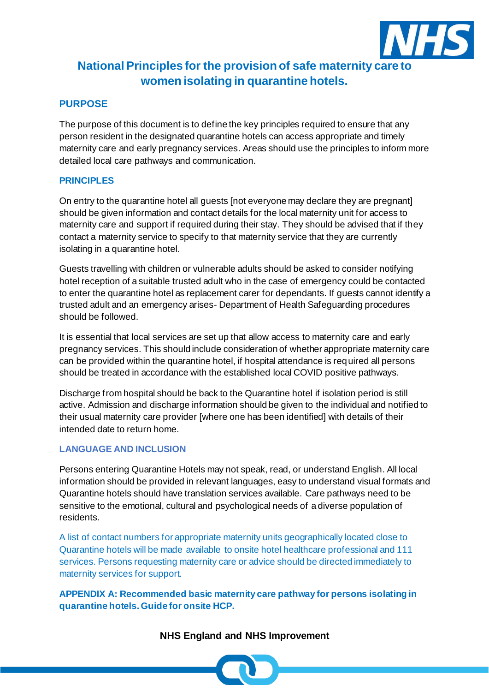

# **National Principles for the provision of safe maternity care to women isolating in quarantine hotels.**

## **PURPOSE**

The purpose of this document is to define the key principles required to ensure that any person resident in the designated quarantine hotels can access appropriate and timely maternity care and early pregnancy services. Areas should use the principles to inform more detailed local care pathways and communication.

#### **PRINCIPLES**

On entry to the quarantine hotel all guests [not everyone may declare they are pregnant] should be given information and contact details for the local maternity unit for access to maternity care and support if required during their stay. They should be advised that if they contact a maternity service to specify to that maternity service that they are currently isolating in a quarantine hotel.

Guests travelling with children or vulnerable adults should be asked to consider notifying hotel reception of a suitable trusted adult who in the case of emergency could be contacted to enter the quarantine hotel as replacement carer for dependants. If guests cannot identify a trusted adult and an emergency arises- Department of Health Safeguarding procedures should be followed.

It is essential that local services are set up that allow access to maternity care and early pregnancy services. This should include consideration of whether appropriate maternity care can be provided within the quarantine hotel, if hospital attendance is required all persons should be treated in accordance with the established local COVID positive pathways.

Discharge from hospital should be back to the Quarantine hotel if isolation period is still active. Admission and discharge information should be given to the individual and notified to their usual maternity care provider [where one has been identified] with details of their intended date to return home.

#### **LANGUAGE AND INCLUSION**

Persons entering Quarantine Hotels may not speak, read, or understand English. All local information should be provided in relevant languages, easy to understand visual formats and Quarantine hotels should have translation services available. Care pathways need to be sensitive to the emotional, cultural and psychological needs of a diverse population of residents.

A list of contact numbers for appropriate maternity units geographically located close to Quarantine hotels will be made available to onsite hotel healthcare professional and 111 services. Persons requesting maternity care or advice should be directed immediately to maternity services for support.

**APPENDIX A: Recommended basic maternity care pathway for persons isolating in quarantine hotels. Guide for onsite HCP.**

### **NHS England and NHS Improvement**

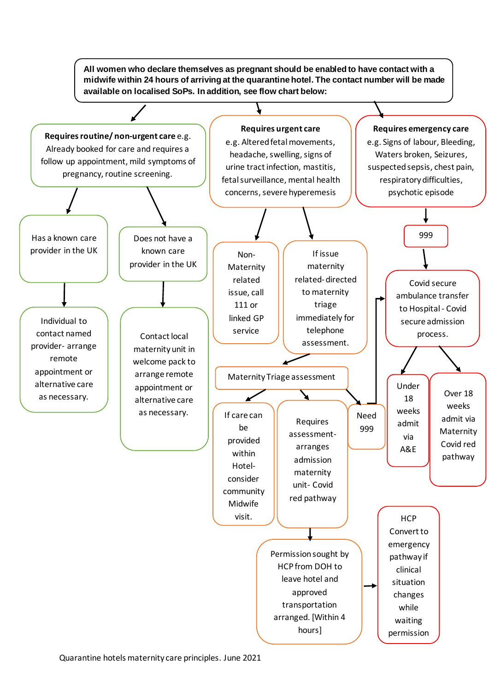**All women who declare themselves as pregnant should be enabled to have contact with a midwife within 24 hours of arriving at the quarantine hotel. The contact number will be made available on localised SoPs. In addition, see flow chart below:**